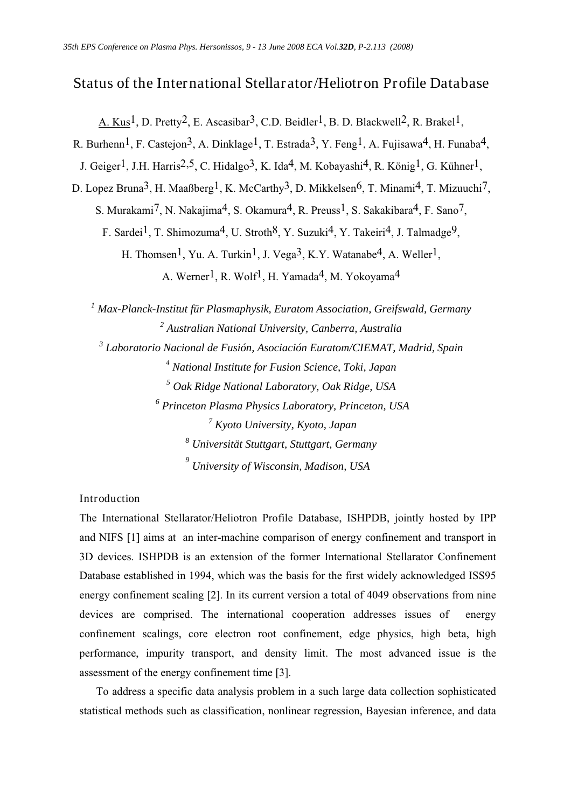# Status of the International Stellarator/Heliotron Profile Database

A. Kus<sup>1</sup>, D. Pretty<sup>2</sup>, E. Ascasibar<sup>3</sup>, C.D. Beidler<sup>1</sup>, B. D. Blackwell<sup>2</sup>, R. Brakel<sup>1</sup>,

R. Burhenn<sup>1</sup>, F. Castejon<sup>3</sup>, A. Dinklage<sup>1</sup>, T. Estrada<sup>3</sup>, Y. Feng<sup>1</sup>, A. Fujisawa<sup>4</sup>, H. Funaba<sup>4</sup>,

J. Geiger<sup>1</sup>, J.H. Harris<sup>2,5</sup>, C. Hidalgo<sup>3</sup>, K. Ida<sup>4</sup>, M. Kobayashi<sup>4</sup>, R. König<sup>1</sup>, G. Kühner<sup>1</sup>,

D. Lopez Bruna<sup>3</sup>, H. Maaßberg<sup>1</sup>, K. McCarthy<sup>3</sup>, D. Mikkelsen<sup>6</sup>, T. Minami<sup>4</sup>, T. Mizuuchi<sup>7</sup>,

S. Murakami<sup>7</sup>, N. Nakajima<sup>4</sup>, S. Okamura<sup>4</sup>, R. Preuss<sup>1</sup>, S. Sakakibara<sup>4</sup>, F. Sano<sup>7</sup>,

F. Sardei<sup>1</sup>, T. Shimozuma<sup>4</sup>, U. Stroth<sup>8</sup>, Y. Suzuki<sup>4</sup>, Y. Takeiri<sup>4</sup>, J. Talmadge<sup>9</sup>,

H. Thomsen<sup>1</sup>, Yu. A. Turkin<sup>1</sup>, J. Vega<sup>3</sup>, K.Y. Watanabe<sup>4</sup>, A. Weller<sup>1</sup>,

A. Werner<sup>1</sup>, R. Wolf<sup>1</sup>, H. Yamada<sup>4</sup>, M. Yokoyama<sup>4</sup>

  *Max-Planck-Institut für Plasmaphysik, Euratom Association, Greifswald, Germany Australian National University, Canberra, Australia Laboratorio Nacional de Fusión, Asociación Euratom/CIEMAT, Madrid, Spain National Institute for Fusion Science, Toki, Japan Oak Ridge National Laboratory, Oak Ridge, USA Princeton Plasma Physics Laboratory, Princeton, USA Kyoto University, Kyoto, Japan Universität Stuttgart, Stuttgart, Germany University of Wisconsin, Madison, USA* 

Introduction

The International Stellarator/Heliotron Profile Database, ISHPDB, jointly hosted by IPP and NIFS [1] aims at an inter-machine comparison of energy confinement and transport in 3D devices. ISHPDB is an extension of the former International Stellarator Confinement Database established in 1994, which was the basis for the first widely acknowledged ISS95 energy confinement scaling [2]. In its current version a total of 4049 observations from nine devices are comprised. The international cooperation addresses issues of energy confinement scalings, core electron root confinement, edge physics, high beta, high performance, impurity transport, and density limit. The most advanced issue is the assessment of the energy confinement time [3].

 To address a specific data analysis problem in a such large data collection sophisticated statistical methods such as classification, nonlinear regression, Bayesian inference, and data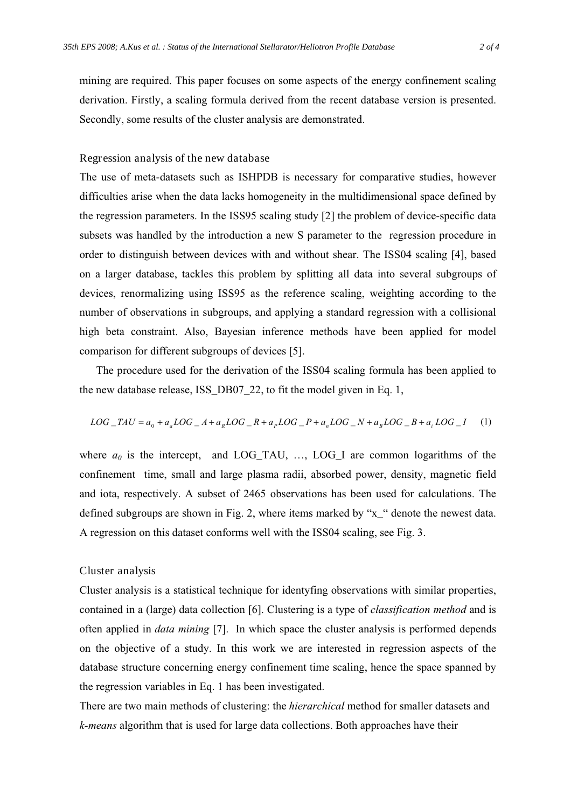mining are required. This paper focuses on some aspects of the energy confinement scaling derivation. Firstly, a scaling formula derived from the recent database version is presented. Secondly, some results of the cluster analysis are demonstrated.

#### Regression analysis of the new database

The use of meta-datasets such as ISHPDB is necessary for comparative studies, however difficulties arise when the data lacks homogeneity in the multidimensional space defined by the regression parameters. In the ISS95 scaling study [2] the problem of device-specific data subsets was handled by the introduction a new S parameter to the regression procedure in order to distinguish between devices with and without shear. The ISS04 scaling [4], based on a larger database, tackles this problem by splitting all data into several subgroups of devices, renormalizing using ISS95 as the reference scaling, weighting according to the number of observations in subgroups, and applying a standard regression with a collisional high beta constraint. Also, Bayesian inference methods have been applied for model comparison for different subgroups of devices [5].

 The procedure used for the derivation of the ISS04 scaling formula has been applied to the new database release, ISS\_DB07\_22, to fit the model given in Eq. 1,

$$
LOG\_TAU = a_0 + a_a LOG\_A + a_pLOG\_R + a_pLOG\_P + a_nLOG\_N + a_pLOG\_B + a_iLOG\_I
$$
 (1)

where  $a_0$  is the intercept, and LOG\_TAU, ..., LOG\_I are common logarithms of the confinement time, small and large plasma radii, absorbed power, density, magnetic field and iota, respectively. A subset of 2465 observations has been used for calculations. The defined subgroups are shown in Fig. 2, where items marked by "x\_" denote the newest data. A regression on this dataset conforms well with the ISS04 scaling, see Fig. 3.

#### Cluster analysis

Cluster analysis is a statistical technique for identyfing observations with similar properties, contained in a (large) data collection [6]. Clustering is a type of *classification method* and is often applied in *data mining* [7]. In which space the cluster analysis is performed depends on the objective of a study. In this work we are interested in regression aspects of the database structure concerning energy confinement time scaling, hence the space spanned by the regression variables in Eq. 1 has been investigated.

There are two main methods of clustering: the *hierarchical* method for smaller datasets and *k-means* algorithm that is used for large data collections. Both approaches have their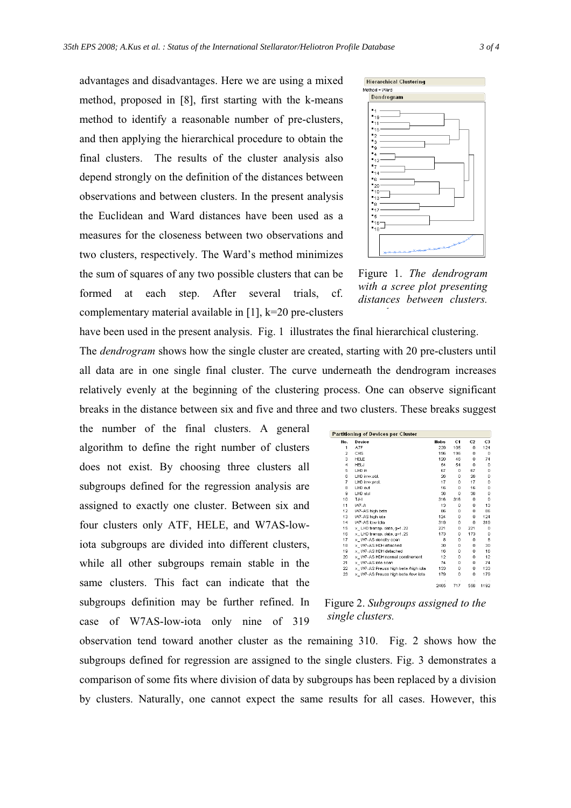advantages and disadvantages. Here we are using a mixed method, proposed in [8], first starting with the k-means method to identify a reasonable number of pre-clusters, and then applying the hierarchical procedure to obtain the final clusters. The results of the cluster analysis also depend strongly on the definition of the distances between observations and between clusters. In the present analysis the Euclidean and Ward distances have been used as a measures for the closeness between two observations and two clusters, respectively. The Ward's method minimizes the sum of squares of any two possible clusters that can be formed at each step. After several trials, cf. complementary material available in [1], k=20 pre-clusters



Figure 1. *The dendrogram with a scree plot presenting distances between clusters. h*

have been used in the present analysis. Fig. 1 illustrates the final hierarchical clustering. The *dendrogram* shows how the single cluster are created, starting with 20 pre-clusters until all data are in one single final cluster. The curve underneath the dendrogram increases relatively evenly at the beginning of the clustering process. One can observe significant breaks in the distance between six and five and three and two clusters. These breaks suggest

the number of the final clusters. A general algorithm to define the right number of clusters does not exist. By choosing three clusters all subgroups defined for the regression analysis are assigned to exactly one cluster. Between six and four clusters only ATF, HELE, and W7AS-lowiota subgroups are divided into different clusters, while all other subgroups remain stable in the same clusters. This fact can indicate that the subgroups definition may be further refined. In case of W7AS-low-iota only nine of 319

| <b>Partitioning of Devices per Cluster</b> |                                     |      |     |     |                |  |  |  |  |  |  |
|--------------------------------------------|-------------------------------------|------|-----|-----|----------------|--|--|--|--|--|--|
| No.                                        | Device                              | Nobs | С1  | C2  | C <sub>3</sub> |  |  |  |  |  |  |
| 1                                          | ATF                                 | 229  | 105 | 0   | 124            |  |  |  |  |  |  |
| $\overline{a}$                             | CHS                                 | 196  | 196 | Ω   | o              |  |  |  |  |  |  |
| 3                                          | HELE                                | 120  | 46  | Ω   | 74             |  |  |  |  |  |  |
| $\overline{\mathbf{4}}$                    | <b>HELJ</b>                         | 54   | 54  | Ω   | 0              |  |  |  |  |  |  |
| 5                                          | LHD in                              | 67   | O   | 67  | o              |  |  |  |  |  |  |
| 6                                          | LHD inw.obl.                        | 26   | O   | 26  | o              |  |  |  |  |  |  |
| $\overline{7}$                             | LHD inw.prol.                       | 17   | o   | 17  | o              |  |  |  |  |  |  |
| 8                                          | LHD out                             | 16   | o   | 16  | o              |  |  |  |  |  |  |
| 9                                          | LHD std                             | 36   | o   | 36  | o              |  |  |  |  |  |  |
| 10                                         | TJ-II                               | 316  | 316 | o   | o              |  |  |  |  |  |  |
| 11                                         | W7-A                                | 13   | 0   | o   | 13             |  |  |  |  |  |  |
| 12                                         | W7-AS high beta                     | 86   | 0   | 0   | 86             |  |  |  |  |  |  |
| 13                                         | W7-AS high iota                     | 124  | 0   | 0   | 124            |  |  |  |  |  |  |
| 14                                         | W7-AS low iota                      | 319  | 0   | 0   | 319            |  |  |  |  |  |  |
| 15                                         | x LHD transp. data, q=1.22          | 221  | 0   | 221 | n              |  |  |  |  |  |  |
| 16                                         | x LHD transp. data, q=1.25          | 173  | 0   | 173 | 0              |  |  |  |  |  |  |
| 17                                         | x W7-AS density scan                | 8    | n   | 0   | 8              |  |  |  |  |  |  |
| 18                                         | x W7-AS HDH attached                | 30   | 0   | 0   | 30             |  |  |  |  |  |  |
| 19                                         | x W7-AS HDH detached                | 16   | n   | 0   | 16             |  |  |  |  |  |  |
| 20                                         | x W7-AS HDH normal confinement      | 12   | 0   | 0   | 12             |  |  |  |  |  |  |
| 21                                         | x W7-AS iota scan                   | 74   | n   | o   | 74             |  |  |  |  |  |  |
| 22                                         | x W7-AS Preuss high beta /high iota | 133  | Ō   | Ō   | 133            |  |  |  |  |  |  |
| 23                                         | x W7-AS Preuss high beta flow iota  | 179  | 0   | o   | 179            |  |  |  |  |  |  |
|                                            |                                     | 2465 | 747 | 556 | 1100           |  |  |  |  |  |  |

Figure 2. *Subgroups assigned to the single clusters.* 

observation tend toward another cluster as the remaining 310. Fig. 2 shows how the subgroups defined for regression are assigned to the single clusters. Fig. 3 demonstrates a comparison of some fits where division of data by subgroups has been replaced by a division by clusters. Naturally, one cannot expect the same results for all cases. However, this